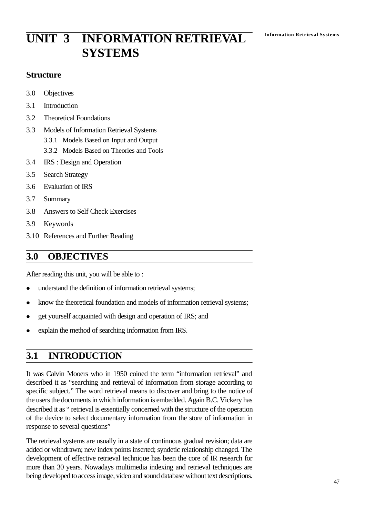# **Information Retrieval Systems UNIT 3 INFORMATION RETRIEVAL SYSTEMS**

## **Structure**

- 3.0 Objectives
- 3.1 Introduction
- 3.2 Theoretical Foundations
- 3.3 Models of Information Retrieval Systems
	- 3.3.1 Models Based on Input and Output
	- 3.3.2 Models Based on Theories and Tools
- 3.4 IRS : Design and Operation
- 3.5 Search Strategy
- 3.6 Evaluation of IRS
- 3.7 Summary
- 3.8 Answers to Self Check Exercises
- 3.9 Keywords
- 3.10 References and Further Reading

# **3.0 OBJECTIVES**

After reading this unit, you will be able to :

- understand the definition of information retrieval systems;
- know the theoretical foundation and models of information retrieval systems;
- get yourself acquainted with design and operation of IRS; and
- explain the method of searching information from IRS.

# **3.1 INTRODUCTION**

It was Calvin Mooers who in 1950 coined the term "information retrieval" and described it as "searching and retrieval of information from storage according to specific subject." The word retrieval means to discover and bring to the notice of the users the documents in which information is embedded. Again B.C. Vickery has described it as " retrieval is essentially concerned with the structure of the operation of the device to select documentary information from the store of information in response to several questions"

The retrieval systems are usually in a state of continuous gradual revision; data are added or withdrawn; new index points inserted; syndetic relationship changed. The development of effective retrieval technique has been the core of IR research for more than 30 years. Nowadays multimedia indexing and retrieval techniques are being developed to access image, video and sound database without text descriptions.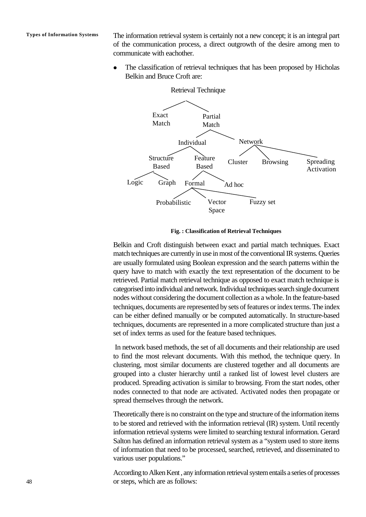**Types of Information Systems** The information retrieval system is certainly not a new concept; it is an integral part of the communication process, a direct outgrowth of the desire among men to communicate with eachother.

> The classification of retrieval techniques that has been proposed by Hicholas Belkin and Bruce Croft are:



**Fig. : Classification of Retrieval Techniques**

Belkin and Croft distinguish between exact and partial match techniques. Exact match techniques are currently in use in most of the conventional IR systems. Queries are usually formulated using Boolean expression and the search patterns within the query have to match with exactly the text representation of the document to be retrieved. Partial match retrieval technique as opposed to exact match technique is categorised into individual and network. Individual techniques search single document nodes without considering the document collection as a whole. In the feature-based techniques, documents are represented by sets of features or index terms. The index can be either defined manually or be computed automatically. In structure-based techniques, documents are represented in a more complicated structure than just a set of index terms as used for the feature based techniques.

 In network based methods, the set of all documents and their relationship are used to find the most relevant documents. With this method, the technique query. In clustering, most similar documents are clustered together and all documents are grouped into a cluster hierarchy until a ranked list of lowest level clusters are produced. Spreading activation is similar to browsing. From the start nodes, other nodes connected to that node are activated. Activated nodes then propagate or spread themselves through the network.

Theoretically there is no constraint on the type and structure of the information items to be stored and retrieved with the information retrieval (IR) system. Until recently information retrieval systems were limited to searching textural information. Gerard Salton has defined an information retrieval system as a "system used to store items of information that need to be processed, searched, retrieved, and disseminated to various user populations."

According to Alken Kent , any information retrieval system entails a series of processes or steps, which are as follows: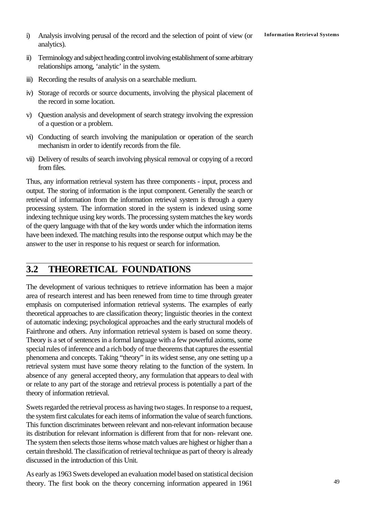- **Information Retrieval Systems** i) Analysis involving perusal of the record and the selection of point of view (or analytics).
- ii) Terminology and subject heading control involving establishment of some arbitrary relationships among, 'analytic' in the system.
- iii) Recording the results of analysis on a searchable medium.
- iv) Storage of records or source documents, involving the physical placement of the record in some location.
- v) Question analysis and development of search strategy involving the expression of a question or a problem.
- vi) Conducting of search involving the manipulation or operation of the search mechanism in order to identify records from the file.
- vii) Delivery of results of search involving physical removal or copying of a record from files.

Thus, any information retrieval system has three components - input, process and output. The storing of information is the input component. Generally the search or retrieval of information from the information retrieval system is through a query processing system. The information stored in the system is indexed using some indexing technique using key words. The processing system matches the key words of the query language with that of the key words under which the information items have been indexed. The matching results into the response output which may be the answer to the user in response to his request or search for information.

# **3.2 THEORETICAL FOUNDATIONS**

The development of various techniques to retrieve information has been a major area of research interest and has been renewed from time to time through greater emphasis on computerised information retrieval systems. The examples of early theoretical approaches to are classification theory; linguistic theories in the context of automatic indexing; psychological approaches and the early structural models of Fairthrone and others. Any information retrieval system is based on some theory. Theory is a set of sentences in a formal language with a few powerful axioms, some special rules of inference and a rich body of true theorems that captures the essential phenomena and concepts. Taking "theory" in its widest sense, any one setting up a retrieval system must have some theory relating to the function of the system. In absence of any general accepted theory, any formulation that appears to deal with or relate to any part of the storage and retrieval process is potentially a part of the theory of information retrieval.

Swets regarded the retrieval process as having two stages. In response to a request, the system first calculates for each items of information the value of search functions. This function discriminates between relevant and non-relevant information because its distribution for relevant information is different from that for non- relevant one. The system then selects those items whose match values are highest or higher than a certain threshold. The classification of retrieval technique as part of theory is already discussed in the introduction of this Unit.

As early as 1963 Swets developed an evaluation model based on statistical decision theory. The first book on the theory concerning information appeared in 1961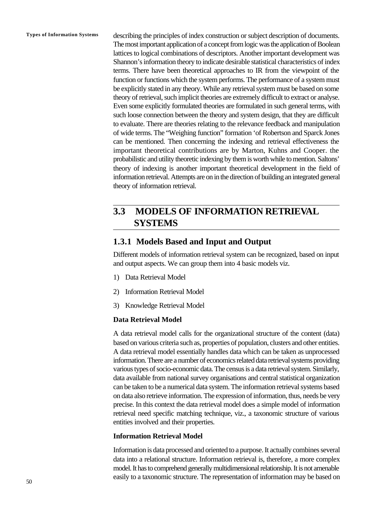**Types of Information Systems** describing the principles of index construction or subject description of documents. The most important application of a concept from logic was the application of Boolean lattices to logical combinations of descriptors. Another important development was Shannon's information theory to indicate desirable statistical characteristics of index terms. There have been theoretical approaches to IR from the viewpoint of the function or functions which the system performs. The performance of a system must be explicitly stated in any theory. While any retrieval system must be based on some theory of retrieval, such implicit theories are extremely difficult to extract or analyse. Even some explicitly formulated theories are formulated in such general terms, with such loose connection between the theory and system design, that they are difficult to evaluate. There are theories relating to the relevance feedback and manipulation of wide terms. The "Weighing function" formation 'of Robertson and Sparck Jones can be mentioned. Then concerning the indexing and retrieval effectiveness the important theoretical contributions are by Marton, Kuhns and Cooper. the probabilistic and utility theoretic indexing by them is worth while to mention. Saltons' theory of indexing is another important theoretical development in the field of information retrieval. Attempts are on in the direction of building an integrated general theory of information retrieval.

# **3.3 MODELS OF INFORMATION RETRIEVAL SYSTEMS**

### **1.3.1 Models Based and Input and Output**

Different models of information retrieval system can be recognized, based on input and output aspects. We can group them into 4 basic models viz.

- 1) Data Retrieval Model
- 2) Information Retrieval Model
- 3) Knowledge Retrieval Model

#### **Data Retrieval Model**

A data retrieval model calls for the organizational structure of the content (data) based on various criteria such as, properties of population, clusters and other entities. A data retrieval model essentially handles data which can be taken as unprocessed information. There are a number of economics related data retrieval systems providing various types of socio-economic data. The census is a data retrieval system. Similarly, data available from national survey organisations and central statistical organization can be taken to be a numerical data system. The information retrieval systems based on data also retrieve information. The expression of information, thus, needs be very precise. In this context the data retrieval model does a simple model of information retrieval need specific matching technique, viz., a taxonomic structure of various entities involved and their properties.

#### **Information Retrieval Model**

Information is data processed and oriented to a purpose. It actually combines several data into a relational structure. Information retrieval is, therefore, a more complex model. It has to comprehend generally multidimensional relationship. It is not amenable easily to a taxonomic structure. The representation of information may be based on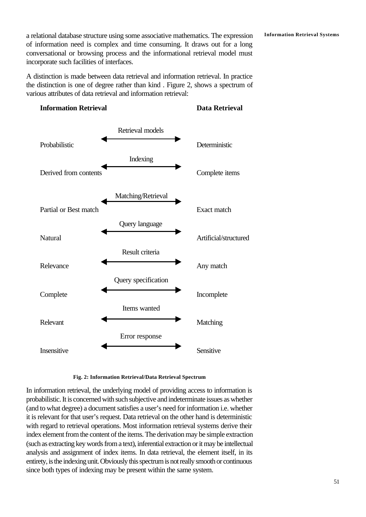**Information Retrieval Systems** a relational database structure using some associative mathematics. The expression of information need is complex and time consuming. It draws out for a long conversational or browsing process and the informational retrieval model must incorporate such facilities of interfaces.

A distinction is made between data retrieval and information retrieval. In practice the distinction is one of degree rather than kind . Figure 2, shows a spectrum of various attributes of data retrieval and information retrieval:

#### **Information Retrieval Data Retrieval**





#### **Fig. 2: Information Retrieval/Data Retrieval Spectrum**

In information retrieval, the underlying model of providing access to information is probabilistic. It is concerned with such subjective and indeterminate issues as whether (and to what degree) a document satisfies a user's need for information i.e. whether it is relevant for that user's request. Data retrieval on the other hand is deterministic with regard to retrieval operations. Most information retrieval systems derive their index element from the content of the items. The derivation may be simple extraction (such as extracting key words from a text), inferential extraction or it may be intellectual analysis and assignment of index items. In data retrieval, the element itself, in its entirety, is the indexing unit. Obviously this spectrum is not really smooth or continuous since both types of indexing may be present within the same system.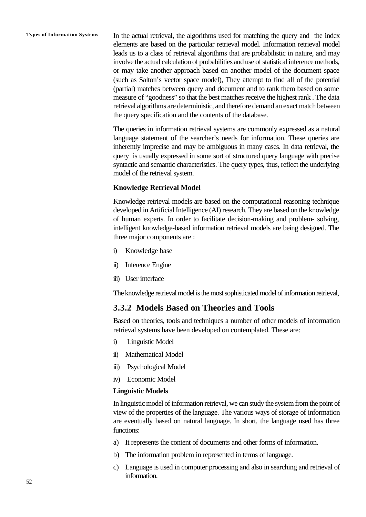**Types of Information Systems** In the actual retrieval, the algorithms used for matching the query and the index elements are based on the particular retrieval model. Information retrieval model leads us to a class of retrieval algorithms that are probabilistic in nature, and may involve the actual calculation of probabilities and use of statistical inference methods, or may take another approach based on another model of the document space (such as Salton's vector space model), They attempt to find all of the potential (partial) matches between query and document and to rank them based on some measure of "goodness" so that the best matches receive the highest rank . The data retrieval algorithms are deterministic, and therefore demand an exact match between the query specification and the contents of the database.

> The queries in information retrieval systems are commonly expressed as a natural language statement of the searcher's needs for information. These queries are inherently imprecise and may be ambiguous in many cases. In data retrieval, the query is usually expressed in some sort of structured query language with precise syntactic and semantic characteristics. The query types, thus, reflect the underlying model of the retrieval system.

#### **Knowledge Retrieval Model**

Knowledge retrieval models are based on the computational reasoning technique developed in Artificial Intelligence (AI) research. They are based on the knowledge of human experts. In order to facilitate decision-making and problem- solving, intelligent knowledge-based information retrieval models are being designed. The three major components are :

- i) Knowledge base
- ii) Inference Engine
- iii) User interface

The knowledge retrieval model is the most sophisticated model of information retrieval,

## **3.3.2 Models Based on Theories and Tools**

Based on theories, tools and techniques a number of other models of information retrieval systems have been developed on contemplated. These are:

- i) Linguistic Model
- ii) Mathematical Model
- iii) Psychological Model
- iv) Economic Model

#### **Linguistic Models**

In linguistic model of information retrieval, we can study the system from the point of view of the properties of the language. The various ways of storage of information are eventually based on natural language. In short, the language used has three functions:

- a) It represents the content of documents and other forms of information.
- b) The information problem in represented in terms of language.
- c) Language is used in computer processing and also in searching and retrieval of information.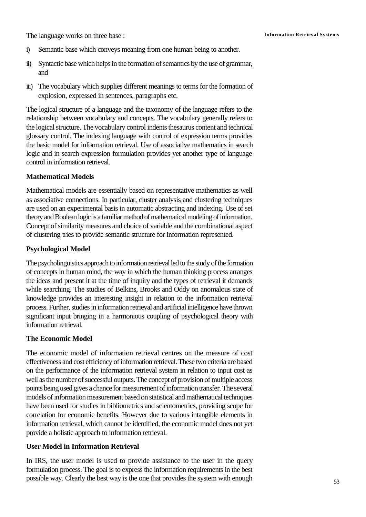The language works on three base : **Information Retrieval Systems** 

- i) Semantic base which conveys meaning from one human being to another.
- ii) Syntactic base which helps in the formation of semantics by the use of grammar, and
- iii) The vocabulary which supplies different meanings to terms for the formation of explosion, expressed in sentences, paragraphs etc.

The logical structure of a language and the taxonomy of the language refers to the relationship between vocabulary and concepts. The vocabulary generally refers to the logical structure. The vocabulary control indents thesaurus content and technical glossary control. The indexing language with control of expression terms provides the basic model for information retrieval. Use of associative mathematics in search logic and in search expression formulation provides yet another type of language control in information retrieval.

#### **Mathematical Models**

Mathematical models are essentially based on representative mathematics as well as associative connections. In particular, cluster analysis and clustering techniques are used on an experimental basis in automatic abstracting and indexing. Use of set theory and Boolean logic is a familiar method of mathematical modeling of information. Concept of similarity measures and choice of variable and the combinational aspect of clustering tries to provide semantic structure for information represented.

#### **Psychological Model**

The psycholinguistics approach to information retrieval led to the study of the formation of concepts in human mind, the way in which the human thinking process arranges the ideas and present it at the time of inquiry and the types of retrieval it demands while searching. The studies of Belkins, Brooks and Oddy on anomalous state of knowledge provides an interesting insight in relation to the information retrieval process. Further, studies in information retrieval and artificial intelligence have thrown significant input bringing in a harmonious coupling of psychological theory with information retrieval.

### **The Economic Model**

The economic model of information retrieval centres on the measure of cost effectiveness and cost efficiency of information retrieval. These two criteria are based on the performance of the information retrieval system in relation to input cost as well as the number of successful outputs. The concept of provision of multiple access points being used gives a chance for measurement of information transfer. The several models of information measurement based on statistical and mathematical techniques have been used for studies in bibliometrics and scientometrics, providing scope for correlation for economic benefits. However due to various intangible elements in information retrieval, which cannot be identified, the economic model does not yet provide a holistic approach to information retrieval.

#### **User Model in Information Retrieval**

In IRS, the user model is used to provide assistance to the user in the query formulation process. The goal is to express the information requirements in the best possible way. Clearly the best way is the one that provides the system with enough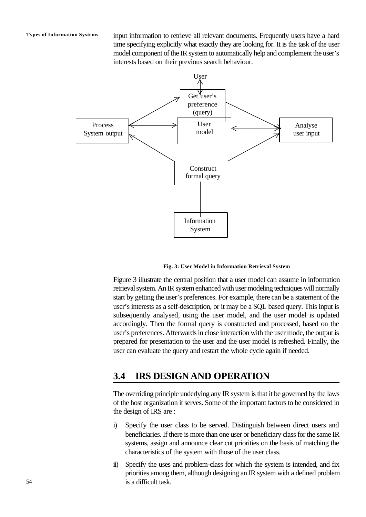**Types of Information Systems** input information to retrieve all relevant documents. Frequently users have a hard time specifying explicitly what exactly they are looking for. It is the task of the user model component of the IR system to automatically help and complement the user's interests based on their previous search behaviour.



**Fig. 3: User Model in Information Retrieval System**

Figure 3 illustrate the central position that a user model can assume in information retrieval system. An IR system enhanced with user modeling techniques will normally start by getting the user's preferences. For example, there can be a statement of the user's interests as a self-description, or it may be a SQL based query. This input is subsequently analysed, using the user model, and the user model is updated accordingly. Then the formal query is constructed and processed, based on the user's preferences. Afterwards in close interaction with the user mode, the output is prepared for presentation to the user and the user model is refreshed. Finally, the user can evaluate the query and restart the whole cycle again if needed.

# **3.4 IRS DESIGN AND OPERATION**

The overriding principle underlying any IR system is that it be governed by the laws of the host organization it serves. Some of the important factors to be considered in the design of IRS are :

- i) Specify the user class to be served. Distinguish between direct users and beneficiaries. If there is more than one user or beneficiary class for the same IR systems, assign and announce clear cut priorities on the basis of matching the characteristics of the system with those of the user class.
- ii) Specify the uses and problem-class for which the system is intended, and fix priorities among them, although designing an IR system with a defined problem is a difficult task.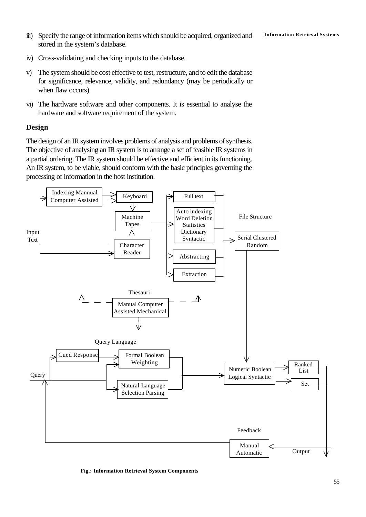- iii) Specify the range of information items which should be acquired, organized and **Information Retrieval Systems** stored in the system's database.
- iv) Cross-validating and checking inputs to the database.
- v) The system should be cost effective to test, restructure, and to edit the database for significance, relevance, validity, and redundancy (may be periodically or when flaw occurs).
- vi) The hardware software and other components. It is essential to analyse the hardware and software requirement of the system.

#### **Design**

The design of an IR system involves problems of analysis and problems of synthesis. The objective of analysing an IR system is to arrange a set of feasible IR systems in a partial ordering. The IR system should be effective and efficient in its functioning. An IR system, to be viable, should conform with the basic principles governing the processing of information in the host institution.



**Fig.: Information Retrieval System Components**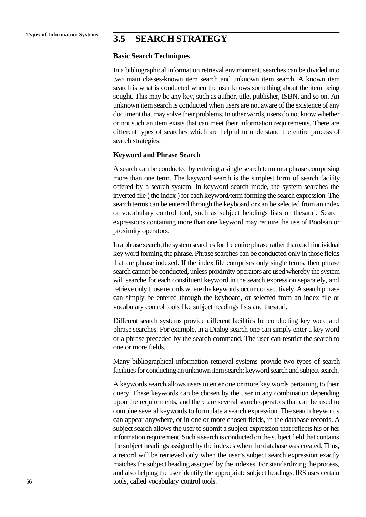# **Types of Information Systems 3.5 SEARCH STRATEGY**

#### **Basic Search Techniques**

In a bibliographical information retrieval environment, searches can be divided into two main classes-known item search and unknown item search. A known item search is what is conducted when the user knows something about the item being sought. This may be any key, such as author, title, publisher, ISBN, and so on. An unknown item search is conducted when users are not aware of the existence of any document that may solve their problems. In other words, users do not know whether or not such an item exists that can meet their information requirements. There are different types of searches which are helpful to understand the entire process of search strategies.

#### **Keyword and Phrase Search**

A search can be conducted by entering a single search term or a phrase comprising more than one term. The keyword search is the simplest form of search facility offered by a search system. In keyword search mode, the system searches the inverted file ( the index ) for each keyword/term forming the search expression. The search terms can be entered through the keyboard or can be selected from an index or vocabulary control tool, such as subject headings lists or thesauri. Search expressions containing more than one keyword may require the use of Boolean or proximity operators.

In a phrase search, the system searches for the entire phrase rather than each individual key word forming the phrase. Phrase searches can be conducted only in those fields that are phrase indexed. If the index file comprises only single terms, then phrase search cannot be conducted, unless proximity operators are used whereby the system will searche for each constituent keyword in the search expression separately, and retrieve only those records where the keywords occur consecutively. A search phrase can simply be entered through the keyboard, or selected from an index file or vocabulary control tools like subject headings lists and thesauri.

Different search systems provide different facilities for conducting key word and phrase searches. For example, in a Dialog search one can simply enter a key word or a phrase preceded by the search command. The user can restrict the search to one or more fields.

Many bibliographical information retrieval systems provide two types of search facilities for conducting an unknown item search; keyword search and subject search.

A keywords search allows users to enter one or more key words pertaining to their query. These keywords can be chosen by the user in any combination depending upon the requirements, and there are several search operators that can be used to combine several keywords to formulate a search expression. The search keywords can appear anywhere, or in one or more chosen fields, in the database records. A subject search allows the user to submit a subject expression that reflects his or her information requirement. Such a search is conducted on the subject field that contains the subject headings assigned by the indexes when the database was created. Thus, a record will be retrieved only when the user's subject search expression exactly matches the subject heading assigned by the indexes. For standardizing the process, and also helping the user identify the appropriate subject headings, IRS uses certain tools, called vocabulary control tools.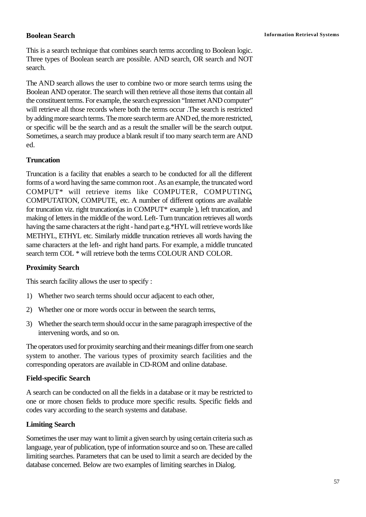This is a search technique that combines search terms according to Boolean logic. Three types of Boolean search are possible. AND search, OR search and NOT search.

The AND search allows the user to combine two or more search terms using the Boolean AND operator. The search will then retrieve all those items that contain all the constituent terms. For example, the search expression "Internet AND computer" will retrieve all those records where both the terms occur .The search is restricted by adding more search terms. The more search term are AND ed, the more restricted, or specific will be the search and as a result the smaller will be the search output. Sometimes, a search may produce a blank result if too many search term are AND ed.

#### **Truncation**

Truncation is a facility that enables a search to be conducted for all the different forms of a word having the same common root . As an example, the truncated word COMPUT\* will retrieve items like COMPUTER, COMPUTING, COMPUTATION, COMPUTE, etc. A number of different options are available for truncation viz. right truncation(as in COMPUT\* example ), left truncation, and making of letters in the middle of the word. Left- Turn truncation retrieves all words having the same characters at the right - hand part e.g.\*HYL will retrieve words like METHYL, ETHYL etc. Similarly middle truncation retrieves all words having the same characters at the left- and right hand parts. For example, a middle truncated search term COL \* will retrieve both the terms COLOUR AND COLOR.

#### **Proximity Search**

This search facility allows the user to specify :

- 1) Whether two search terms should occur adjacent to each other,
- 2) Whether one or more words occur in between the search terms,
- 3) Whether the search term should occur in the same paragraph irrespective of the intervening words, and so on.

The operators used for proximity searching and their meanings differ from one search system to another. The various types of proximity search facilities and the corresponding operators are available in CD-ROM and online database.

### **Field-specific Search**

A search can be conducted on all the fields in a database or it may be restricted to one or more chosen fields to produce more specific results. Specific fields and codes vary according to the search systems and database.

### **Limiting Search**

Sometimes the user may want to limit a given search by using certain criteria such as language, year of publication, type of information source and so on. These are called limiting searches. Parameters that can be used to limit a search are decided by the database concerned. Below are two examples of limiting searches in Dialog.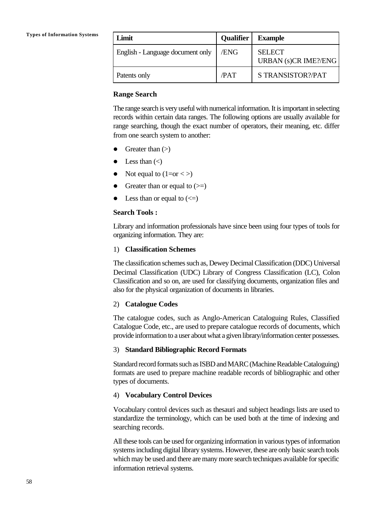| Limit                            | <b>Qualifier</b> | <b>Example</b>                               |
|----------------------------------|------------------|----------------------------------------------|
| English - Language document only | /ENG             | <b>SELECT</b><br><b>URBAN</b> (s)CR IME?/ENG |
| Patents only                     | /PAT             | S TRANSISTOR?/PAT                            |

#### **Range Search**

The range search is very useful with numerical information. It is important in selecting records within certain data ranges. The following options are usually available for range searching, though the exact number of operators, their meaning, etc. differ from one search system to another:

- Greater than  $(>)$
- Less than  $(\le)$
- $\bullet$  Not equal to  $(1=or < )$
- Greater than or equal to  $(\geq)$
- Less than or equal to  $(\leq)$

#### **Search Tools :**

Library and information professionals have since been using four types of tools for organizing information. They are:

#### 1) **Classification Schemes**

The classification schemes such as, Dewey Decimal Classification (DDC) Universal Decimal Classification (UDC) Library of Congress Classification (LC), Colon Classification and so on, are used for classifying documents, organization files and also for the physical organization of documents in libraries.

#### 2) **Catalogue Codes**

The catalogue codes, such as Anglo-American Cataloguing Rules, Classified Catalogue Code, etc., are used to prepare catalogue records of documents, which provide information to a user about what a given library/information center possesses.

#### 3) **Standard Bibliographic Record Formats**

Standard record formats such as ISBD and MARC (Machine Readable Cataloguing) formats are used to prepare machine readable records of bibliographic and other types of documents.

#### 4) **Vocabulary Control Devices**

Vocabulary control devices such as thesauri and subject headings lists are used to standardize the terminology, which can be used both at the time of indexing and searching records.

All these tools can be used for organizing information in various types of information systems including digital library systems. However, these are only basic search tools which may be used and there are many more search techniques available for specific information retrieval systems.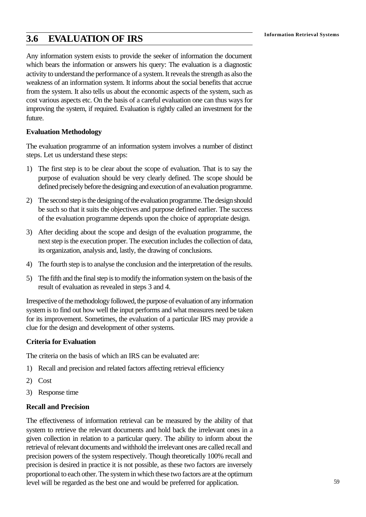# **Information Retrieval Systems 3.6 EVALUATION OF IRS**

Any information system exists to provide the seeker of information the document which bears the information or answers his query: The evaluation is a diagnostic activity to understand the performance of a system. It reveals the strength as also the weakness of an information system. It informs about the social benefits that accrue from the system. It also tells us about the economic aspects of the system, such as cost various aspects etc. On the basis of a careful evaluation one can thus ways for improving the system, if required. Evaluation is rightly called an investment for the future.

#### **Evaluation Methodology**

The evaluation programme of an information system involves a number of distinct steps. Let us understand these steps:

- 1) The first step is to be clear about the scope of evaluation. That is to say the purpose of evaluation should be very clearly defined. The scope should be defined precisely before the designing and execution of an evaluation programme.
- 2) The second step is the designing of the evaluation programme. The design should be such so that it suits the objectives and purpose defined earlier. The success of the evaluation programme depends upon the choice of appropriate design.
- 3) After deciding about the scope and design of the evaluation programme, the next step is the execution proper. The execution includes the collection of data, its organization, analysis and, lastly, the drawing of conclusions.
- 4) The fourth step is to analyse the conclusion and the interpretation of the results.
- 5) The fifth and the final step is to modify the information system on the basis of the result of evaluation as revealed in steps 3 and 4.

Irrespective of the methodology followed, the purpose of evaluation of any information system is to find out how well the input performs and what measures need be taken for its improvement. Sometimes, the evaluation of a particular IRS may provide a clue for the design and development of other systems.

#### **Criteria for Evaluation**

The criteria on the basis of which an IRS can be evaluated are:

- 1) Recall and precision and related factors affecting retrieval efficiency
- 2) Cost
- 3) Response time

#### **Recall and Precision**

The effectiveness of information retrieval can be measured by the ability of that system to retrieve the relevant documents and hold back the irrelevant ones in a given collection in relation to a particular query. The ability to inform about the retrieval of relevant documents and withhold the irrelevant ones are called recall and precision powers of the system respectively. Though theoretically 100% recall and precision is desired in practice it is not possible, as these two factors are inversely proportional to each other. The system in which these two factors are at the optimum level will be regarded as the best one and would be preferred for application.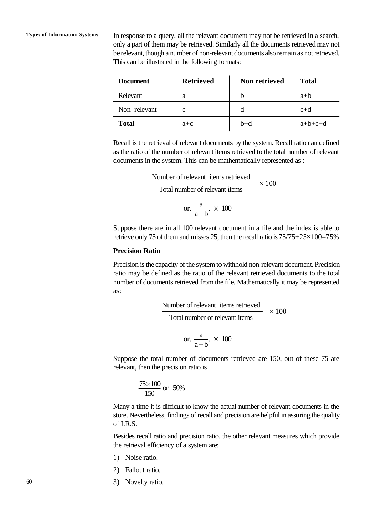**Types of Information Systems** In response to a query, all the relevant document may not be retrieved in a search, only a part of them may be retrieved. Similarly all the documents retrieved may not be relevant, though a number of non-relevant documents also remain as not retrieved. This can be illustrated in the following formats:

| <b>Document</b> | <b>Retrieved</b> | Non retrieved | <b>Total</b> |
|-----------------|------------------|---------------|--------------|
| Relevant        | a                | h             | $a+b$        |
| Non-relevant    | с                |               | $c+d$        |
| <b>Total</b>    | $a+c$            | $b+d$         | $a+b+c+d$    |

Recall is the retrieval of relevant documents by the system. Recall ratio can defined as the ratio of the number of relevant items retrieved to the total number of relevant documents in the system. This can be mathematically represented as :

> Number of relevant items retrieved Total number of relevant items  $\times$  100

or. 
$$
\frac{a}{a+b} \times 100
$$

Suppose there are in all 100 relevant document in a file and the index is able to retrieve only 75 of them and misses 25, then the recall ratio is  $75/75+25\times100=75\%$ 

#### **Precision Ratio**

Precision is the capacity of the system to withhold non-relevant document. Precision ratio may be defined as the ratio of the relevant retrieved documents to the total number of documents retrieved from the file. Mathematically it may be represented as:

> Number of relevant items retrieved Total number of relevant items  $\times$  100

or. 
$$
\frac{a}{a+b} \times 100
$$

Suppose the total number of documents retrieved are 150, out of these 75 are relevant, then the precision ratio is

$$
\frac{75 \times 100}{150}
$$
 or 50%

Many a time it is difficult to know the actual number of relevant documents in the store. Nevertheless, findings of recall and precision are helpful in assuring the quality of I.R.S.

Besides recall ratio and precision ratio, the other relevant measures which provide the retrieval efficiency of a system are:

- 1) Noise ratio.
- 2) Fallout ratio.
- 3) Novelty ratio.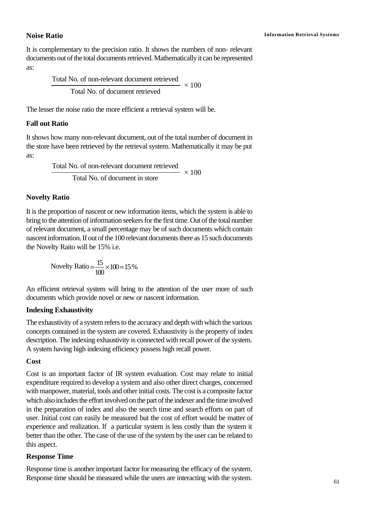It is complementary to the precision ratio. It shows the numbers of non- relevant documents out of the total documents retrieved. Mathematically it can be represented as:

> $\sim 100$ Total No. of non-relevant document retrieved Total No. of document retrieved

The lesser the noise ratio the more efficient a retrieval system will be.

#### **Fall out Ratio**

It shows how many non-relevant document, out of the total number of document in the store have been retrieved by the retrieval system. Mathematically it may be put as:

> $\times 100$ Total No. of non-relevant document retrieved Total No. of document in store

## **Novelty Ratio**

It is the proportion of nascent or new information items, which the system is able to bring to the attention of information seekers for the first time. Out of the total number of relevant document, a small percentage may be of such documents which contain nascent information. If out of the 100 relevant documents there as 15 such documents the Novelty Raito will be 15% i.e.

> 15 100 Novelty Ratio  $=\frac{15}{100} \times 100 = 15\%$

An efficient retrieval system will bring to the attention of the user more of such documents which provide novel or new or nascent information.

### **Indexing Exhaustivity**

The exhaustivity of a system refers to the accuracy and depth with which the various concepts contained in the system are covered. Exhaustivity is the property of index description. The indexing exhaustivity is connected with recall power of the system. A system having high indexing efficiency possess high recall power.

### **Cost**

Cost is an important factor of IR system evaluation. Cost may relate to initial expenditure required to develop a system and also other direct charges, concerned with manpower, material, tools and other initial costs. The cost is a composite factor which also includes the effort involved on the part of the indexer and the time involved in the preparation of index and also the search time and search efforts on part of user. Initial cost can easily be measured but the cost of effort would be matter of experience and realization. If a particular system is less costly than the system it better than the other. The case of the use of the system by the user can be related to this aspect.

### **Response Time**

Response time is another important factor for measuring the efficacy of the system. Response time should be measured while the users are interacting with the system.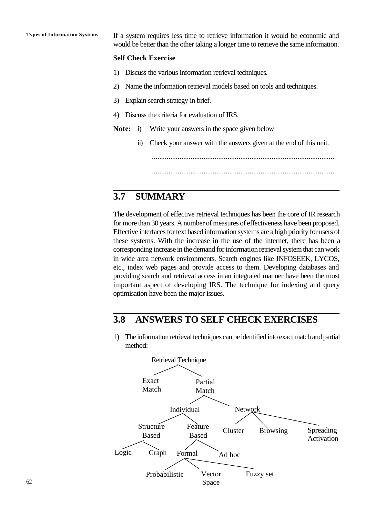**Types of Information Systems** If a system requires less time to retrieve information it would be economic and would be better than the other taking a longer time to retrieve the same information.

#### **Self Check Exercise**

- 1) Discuss the various information retrieval techniques.
- 2) Name the information retrieval models based on tools and techniques.
- 3) Explain search strategy in brief.
- 4) Discuss the criteria for evaluation of IRS.
- **Note:** i) Write your answers in the space given below
	- ii) Check your answer with the answers given at the end of this unit.

...................................................................................................

...................................................................................................

# **3.7 SUMMARY**

The development of effective retrieval techniques has been the core of IR research for more than 30 years. A number of measures of effectiveness have been proposed. Effective interfaces for text based information systems are a high priority for users of these systems. With the increase in the use of the internet, there has been a corresponding increase in the demand for information retrieval system that can work in wide area network environments. Search engines like INFOSEEK, LYCOS, etc., index web pages and provide access to them. Developing databases and providing search and retrieval access in an integrated manner have been the most important aspect of developing IRS. The technique for indexing and query optimisation have been the major issues.

## **3.8 ANSWERS TO SELF CHECK EXERCISES**

1) The information retrieval techniques can be identified into exact match and partial method:

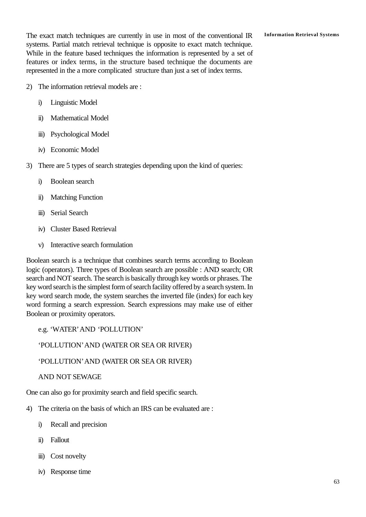The exact match techniques are currently in use in most of the conventional IR **Information Retrieval Systems** systems. Partial match retrieval technique is opposite to exact match technique. While in the feature based techniques the information is represented by a set of features or index terms, in the structure based technique the documents are represented in the a more complicated structure than just a set of index terms.

- 2) The information retrieval models are :
	- i) Linguistic Model
	- ii) Mathematical Model
	- iii) Psychological Model
	- iv) Economic Model
- 3) There are 5 types of search strategies depending upon the kind of queries:
	- i) Boolean search
	- ii) Matching Function
	- iii) Serial Search
	- iv) Cluster Based Retrieval
	- v) Interactive search formulation

Boolean search is a technique that combines search terms according to Boolean logic (operators). Three types of Boolean search are possible : AND search; OR search and NOT search. The search is basically through key words or phrases. The key word search is the simplest form of search facility offered by a search system. In key word search mode, the system searches the inverted file (index) for each key word forming a search expression. Search expressions may make use of either Boolean or proximity operators.

e.g. 'WATER'AND 'POLLUTION'

'POLLUTION'AND (WATER OR SEA OR RIVER)

'POLLUTION'AND (WATER OR SEA OR RIVER)

AND NOT SEWAGE

One can also go for proximity search and field specific search.

- 4) The criteria on the basis of which an IRS can be evaluated are :
	- i) Recall and precision
	- ii) Fallout
	- iii) Cost novelty
	- iv) Response time